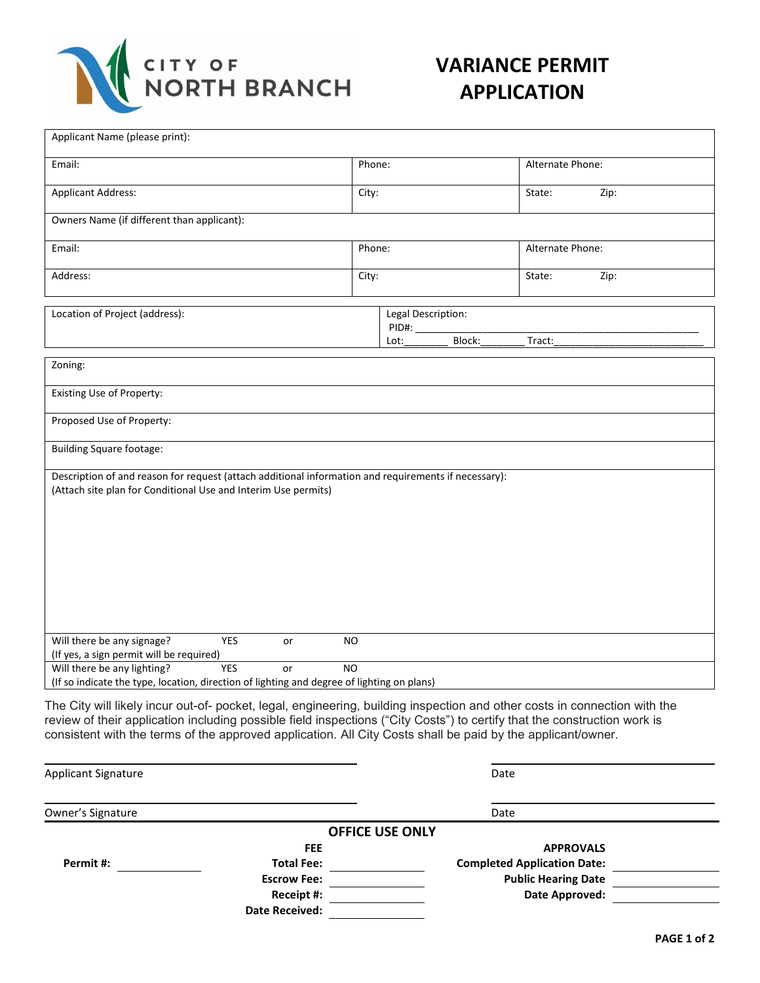

## **VARIANCE PERMIT APPLICATION**

| State:<br>Zip:<br>Alternate Phone:<br>State:<br>Zip:<br>Legal Description:<br>Block:<br>Tract:                                                                                                                                                                                                                                                                       |
|----------------------------------------------------------------------------------------------------------------------------------------------------------------------------------------------------------------------------------------------------------------------------------------------------------------------------------------------------------------------|
|                                                                                                                                                                                                                                                                                                                                                                      |
|                                                                                                                                                                                                                                                                                                                                                                      |
|                                                                                                                                                                                                                                                                                                                                                                      |
|                                                                                                                                                                                                                                                                                                                                                                      |
|                                                                                                                                                                                                                                                                                                                                                                      |
|                                                                                                                                                                                                                                                                                                                                                                      |
|                                                                                                                                                                                                                                                                                                                                                                      |
|                                                                                                                                                                                                                                                                                                                                                                      |
|                                                                                                                                                                                                                                                                                                                                                                      |
| Description of and reason for request (attach additional information and requirements if necessary):                                                                                                                                                                                                                                                                 |
|                                                                                                                                                                                                                                                                                                                                                                      |
| (If so indicate the type, location, direction of lighting and degree of lighting on plans)                                                                                                                                                                                                                                                                           |
| The City will likely incur out-of- pocket, legal, engineering, building inspection and other costs in connection with the<br>review of their application including possible field inspections ("City Costs") to certify that the construction work is<br>consistent with the terms of the approved application. All City Costs shall be paid by the applicant/owner. |

| <b>Applicant Signature</b> |                        | Date                               |  |
|----------------------------|------------------------|------------------------------------|--|
| Owner's Signature          |                        | Date                               |  |
|                            | <b>OFFICE USE ONLY</b> |                                    |  |
|                            | <b>FEE</b>             | <b>APPROVALS</b>                   |  |
| Permit#:                   | <b>Total Fee:</b>      | <b>Completed Application Date:</b> |  |
|                            | <b>Escrow Fee:</b>     | <b>Public Hearing Date</b>         |  |
|                            | Receipt #:             | Date Approved:                     |  |
|                            | <b>Date Received:</b>  |                                    |  |